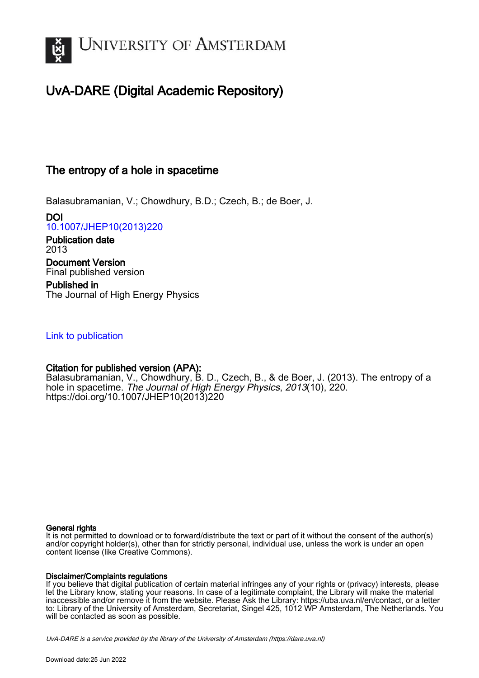

# UvA-DARE (Digital Academic Repository)

## The entropy of a hole in spacetime

Balasubramanian, V.; Chowdhury, B.D.; Czech, B.; de Boer, J.

DOI [10.1007/JHEP10\(2013\)220](https://doi.org/10.1007/JHEP10(2013)220)

Publication date 2013 Document Version Final published version

Published in The Journal of High Energy Physics

## [Link to publication](https://dare.uva.nl/personal/pure/en/publications/the-entropy-of-a-hole-in-spacetime(6d0a78cf-c900-488a-957d-063ead2ec6d3).html)

## Citation for published version (APA):

Balasubramanian, V., Chowdhury, B. D., Czech, B., & de Boer, J. (2013). The entropy of a hole in spacetime. The Journal of High Energy Physics, 2013(10), 220. [https://doi.org/10.1007/JHEP10\(2013\)220](https://doi.org/10.1007/JHEP10(2013)220)

## General rights

It is not permitted to download or to forward/distribute the text or part of it without the consent of the author(s) and/or copyright holder(s), other than for strictly personal, individual use, unless the work is under an open content license (like Creative Commons).

## Disclaimer/Complaints regulations

If you believe that digital publication of certain material infringes any of your rights or (privacy) interests, please let the Library know, stating your reasons. In case of a legitimate complaint, the Library will make the material inaccessible and/or remove it from the website. Please Ask the Library: https://uba.uva.nl/en/contact, or a letter to: Library of the University of Amsterdam, Secretariat, Singel 425, 1012 WP Amsterdam, The Netherlands. You will be contacted as soon as possible.

UvA-DARE is a service provided by the library of the University of Amsterdam (http*s*://dare.uva.nl)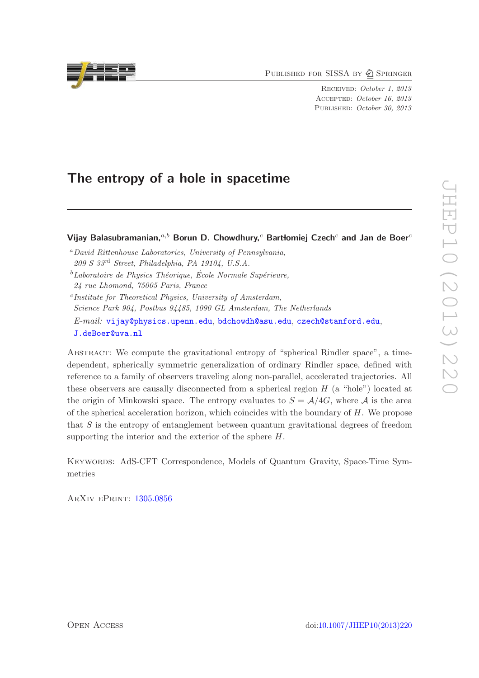PUBLISHED FOR SISSA BY 2 SPRINGER

RECEIVED: October 1, 2013 Accepted: October 16, 2013 PUBLISHED: October 30, 2013

## The entropy of a hole in spacetime

Vijay Balasubramanian, $a,b$  Borun D. Chowdhury, $c$  Bartłomiej Czech $c$  and Jan de Boer $c$ 

- <sup>a</sup>*David Rittenhouse Laboratories, University of Pennsylvania, 209 S 33*rd *Street, Philadelphia, PA 19104, U.S.A.*
- <sup>*b*</sup>Laboratoire de Physics Théorique, École Normale Supérieure, *24 rue Lhomond, 75005 Paris, France*
- c *Institute for Theoretical Physics, University of Amsterdam, Science Park 904, Postbus 94485, 1090 GL Amsterdam, The Netherlands E-mail:* [vijay@physics.upenn.edu](mailto:vijay@physics.upenn.edu), [bdchowdh@asu.edu](mailto:bdchowdh@asu.edu), [czech@stanford.edu](mailto:czech@stanford.edu), [J.deBoer@uva.nl](mailto:J.deBoer@uva.nl)

Abstract: We compute the gravitational entropy of "spherical Rindler space", a timedependent, spherically symmetric generalization of ordinary Rindler space, defined with reference to a family of observers traveling along non-parallel, accelerated trajectories. All these observers are causally disconnected from a spherical region  $H$  (a "hole") located at the origin of Minkowski space. The entropy evaluates to  $S = \mathcal{A}/4G$ , where  $\mathcal{A}$  is the area of the spherical acceleration horizon, which coincides with the boundary of  $H$ . We propose that S is the entropy of entanglement between quantum gravitational degrees of freedom supporting the interior and the exterior of the sphere  $H$ .

Keywords: AdS-CFT Correspondence, Models of Quantum Gravity, Space-Time Symmetries

ArXiv ePrint: [1305.0856](http://arxiv.org/abs/1305.0856)

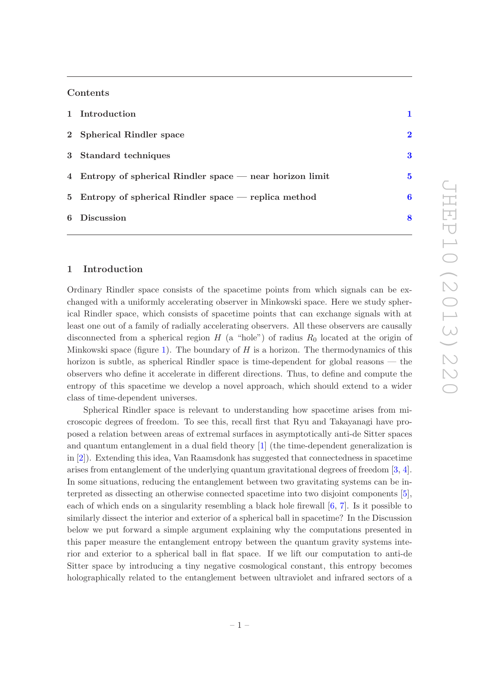## Contents

| 1 Introduction                                              |          |
|-------------------------------------------------------------|----------|
| 2 Spherical Rindler space                                   | $\bf{2}$ |
| 3 Standard techniques                                       | 3        |
| 4 Entropy of spherical Rindler space $-$ near horizon limit | 5        |
| 5 Entropy of spherical Rindler space $-$ replica method     | 6        |
| 6 Discussion                                                | 8        |

## <span id="page-2-0"></span>1 Introduction

Ordinary Rindler space consists of the spacetime points from which signals can be exchanged with a uniformly accelerating observer in Minkowski space. Here we study spherical Rindler space, which consists of spacetime points that can exchange signals with at least one out of a family of radially accelerating observers. All these observers are causally disconnected from a spherical region  $H$  (a "hole") of radius  $R_0$  located at the origin of Minkowski space (figure [1\)](#page-4-1). The boundary of  $H$  is a horizon. The thermodynamics of this horizon is subtle, as spherical Rindler space is time-dependent for global reasons — the observers who define it accelerate in different directions. Thus, to define and compute the entropy of this spacetime we develop a novel approach, which should extend to a wider class of time-dependent universes.

Spherical Rindler space is relevant to understanding how spacetime arises from microscopic degrees of freedom. To see this, recall first that Ryu and Takayanagi have proposed a relation between areas of extremal surfaces in asymptotically anti-de Sitter spaces and quantum entanglement in a dual field theory [\[1\]](#page-11-0) (the time-dependent generalization is in [\[2\]](#page-11-1)). Extending this idea, Van Raamsdonk has suggested that connectedness in spacetime arises from entanglement of the underlying quantum gravitational degrees of freedom [\[3,](#page-11-2) [4\]](#page-11-3). In some situations, reducing the entanglement between two gravitating systems can be interpreted as dissecting an otherwise connected spacetime into two disjoint components [\[5\]](#page-11-4), each of which ends on a singularity resembling a black hole firewall [\[6,](#page-11-5) [7\]](#page-11-6). Is it possible to similarly dissect the interior and exterior of a spherical ball in spacetime? In the Discussion below we put forward a simple argument explaining why the computations presented in this paper measure the entanglement entropy between the quantum gravity systems interior and exterior to a spherical ball in flat space. If we lift our computation to anti-de Sitter space by introducing a tiny negative cosmological constant, this entropy becomes holographically related to the entanglement between ultraviolet and infrared sectors of a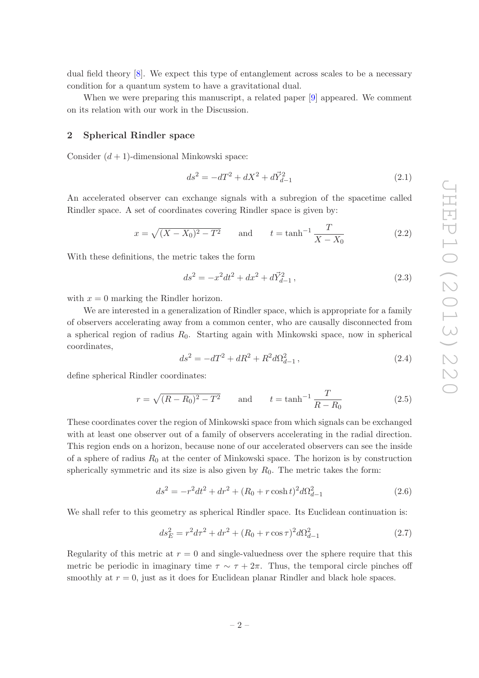dual field theory [\[8\]](#page-11-7). We expect this type of entanglement across scales to be a necessary condition for a quantum system to have a gravitational dual.

When we were preparing this manuscript, a related paper [\[9\]](#page-11-8) appeared. We comment on its relation with our work in the Discussion.

### <span id="page-3-0"></span>2 Spherical Rindler space

Consider  $(d + 1)$ -dimensional Minkowski space:

$$
ds^2 = -dT^2 + dX^2 + d\vec{Y}_{d-1}^2
$$
\n(2.1)

An accelerated observer can exchange signals with a subregion of the spacetime called Rindler space. A set of coordinates covering Rindler space is given by:

$$
x = \sqrt{(X - X_0)^2 - T^2} \qquad \text{and} \qquad t = \tanh^{-1} \frac{T}{X - X_0} \tag{2.2}
$$

With these definitions, the metric takes the form

<span id="page-3-1"></span>
$$
ds^{2} = -x^{2}dt^{2} + dx^{2} + d\vec{Y}_{d-1}^{2} , \qquad (2.3)
$$

with  $x = 0$  marking the Rindler horizon.

We are interested in a generalization of Rindler space, which is appropriate for a family of observers accelerating away from a common center, who are causally disconnected from a spherical region of radius  $R_0$ . Starting again with Minkowski space, now in spherical coordinates,

<span id="page-3-4"></span>
$$
ds^{2} = -dT^{2} + dR^{2} + R^{2}d\Omega_{d-1}^{2} , \qquad (2.4)
$$

define spherical Rindler coordinates:

<span id="page-3-5"></span>
$$
r = \sqrt{(R - R_0)^2 - T^2}
$$
 and  $t = \tanh^{-1} \frac{T}{R - R_0}$  (2.5)

These coordinates cover the region of Minkowski space from which signals can be exchanged with at least one observer out of a family of observers accelerating in the radial direction. This region ends on a horizon, because none of our accelerated observers can see the inside of a sphere of radius  $R_0$  at the center of Minkowski space. The horizon is by construction spherically symmetric and its size is also given by  $R_0$ . The metric takes the form:

<span id="page-3-2"></span>
$$
ds^{2} = -r^{2}dt^{2} + dr^{2} + (R_{0} + r \cosh t)^{2}d\Omega_{d-1}^{2}
$$
\n(2.6)

We shall refer to this geometry as spherical Rindler space. Its Euclidean continuation is:

<span id="page-3-3"></span>
$$
ds_E^2 = r^2 d\tau^2 + dr^2 + (R_0 + r \cos \tau)^2 d\Omega_{d-1}^2
$$
\n(2.7)

Regularity of this metric at  $r = 0$  and single-valuedness over the sphere require that this metric be periodic in imaginary time  $\tau \sim \tau + 2\pi$ . Thus, the temporal circle pinches off smoothly at  $r = 0$ , just as it does for Euclidean planar Rindler and black hole spaces.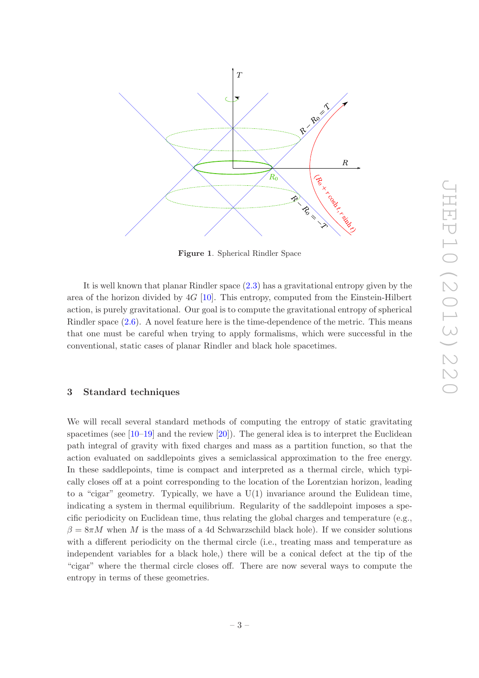

<span id="page-4-1"></span>Figure 1. Spherical Rindler Space

It is well known that planar Rindler space [\(2.3\)](#page-3-1) has a gravitational entropy given by the area of the horizon divided by  $4G$  [\[10\]](#page-11-9). This entropy, computed from the Einstein-Hilbert action, is purely gravitational. Our goal is to compute the gravitational entropy of spherical Rindler space [\(2.6\)](#page-3-2). A novel feature here is the time-dependence of the metric. This means that one must be careful when trying to apply formalisms, which were successful in the conventional, static cases of planar Rindler and black hole spacetimes.

#### <span id="page-4-0"></span>3 Standard techniques

We will recall several standard methods of computing the entropy of static gravitating spacetimes (see  $[10-19]$  and the review  $[20]$ ). The general idea is to interpret the Euclidean path integral of gravity with fixed charges and mass as a partition function, so that the action evaluated on saddlepoints gives a semiclassical approximation to the free energy. In these saddlepoints, time is compact and interpreted as a thermal circle, which typically closes off at a point corresponding to the location of the Lorentzian horizon, leading to a "cigar" geometry. Typically, we have a  $U(1)$  invariance around the Eulidean time, indicating a system in thermal equilibrium. Regularity of the saddlepoint imposes a specific periodicity on Euclidean time, thus relating the global charges and temperature (e.g.,  $\beta = 8\pi M$  when M is the mass of a 4d Schwarzschild black hole). If we consider solutions with a different periodicity on the thermal circle (i.e., treating mass and temperature as independent variables for a black hole,) there will be a conical defect at the tip of the "cigar" where the thermal circle closes off. There are now several ways to compute the entropy in terms of these geometries.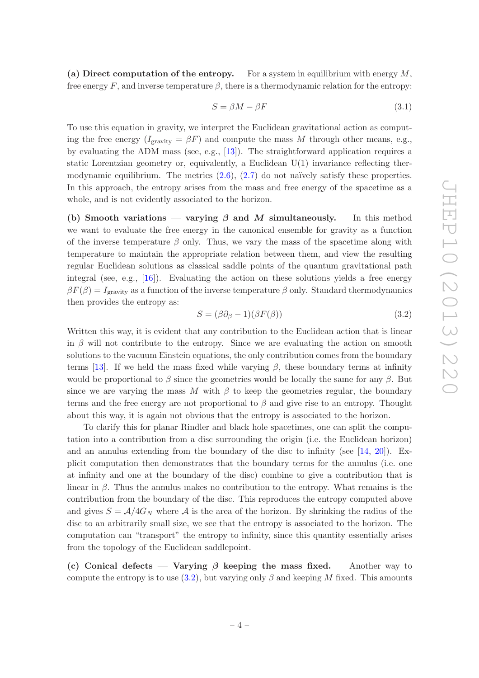(a) Direct computation of the entropy. For a system in equilibrium with energy  $M$ , free energy F, and inverse temperature  $\beta$ , there is a thermodynamic relation for the entropy:

$$
S = \beta M - \beta F \tag{3.1}
$$

To use this equation in gravity, we interpret the Euclidean gravitational action as computing the free energy  $(I<sub>gravity</sub> = \beta F)$  and compute the mass M through other means, e.g., by evaluating the ADM mass (see, e.g., [\[13\]](#page-11-10)). The straightforward application requires a static Lorentzian geometry or, equivalently, a Euclidean  $U(1)$  invariance reflecting thermodynamic equilibrium. The metrics  $(2.6)$ ,  $(2.7)$  do not naïvely satisfy these properties. In this approach, the entropy arises from the mass and free energy of the spacetime as a whole, and is not evidently associated to the horizon.

(b) Smooth variations — varying  $\beta$  and M simultaneously. In this method we want to evaluate the free energy in the canonical ensemble for gravity as a function of the inverse temperature  $\beta$  only. Thus, we vary the mass of the spacetime along with temperature to maintain the appropriate relation between them, and view the resulting regular Euclidean solutions as classical saddle points of the quantum gravitational path integral (see, e.g.,  $[16]$ ). Evaluating the action on these solutions yields a free energy  $\beta F(\beta) = I_{\text{gravity}}$  as a function of the inverse temperature  $\beta$  only. Standard thermodynamics then provides the entropy as:

<span id="page-5-0"></span>
$$
S = (\beta \partial_{\beta} - 1)(\beta F(\beta)) \tag{3.2}
$$

Written this way, it is evident that any contribution to the Euclidean action that is linear in  $\beta$  will not contribute to the entropy. Since we are evaluating the action on smooth solutions to the vacuum Einstein equations, the only contribution comes from the boundary terms [\[13\]](#page-11-10). If we held the mass fixed while varying  $\beta$ , these boundary terms at infinity would be proportional to  $\beta$  since the geometries would be locally the same for any  $\beta$ . But since we are varying the mass M with  $\beta$  to keep the geometries regular, the boundary terms and the free energy are not proportional to  $\beta$  and give rise to an entropy. Thought about this way, it is again not obvious that the entropy is associated to the horizon.

To clarify this for planar Rindler and black hole spacetimes, one can split the computation into a contribution from a disc surrounding the origin (i.e. the Euclidean horizon) and an annulus extending from the boundary of the disc to infinity (see  $(14, 20)$ ). Explicit computation then demonstrates that the boundary terms for the annulus (i.e. one at infinity and one at the boundary of the disc) combine to give a contribution that is linear in  $\beta$ . Thus the annulus makes no contribution to the entropy. What remains is the contribution from the boundary of the disc. This reproduces the entropy computed above and gives  $S = A/4G_N$  where A is the area of the horizon. By shrinking the radius of the disc to an arbitrarily small size, we see that the entropy is associated to the horizon. The computation can "transport" the entropy to infinity, since this quantity essentially arises from the topology of the Euclidean saddlepoint.

(c) Conical defects — Varying  $\beta$  keeping the mass fixed. Another way to compute the entropy is to use  $(3.2)$ , but varying only  $\beta$  and keeping M fixed. This amounts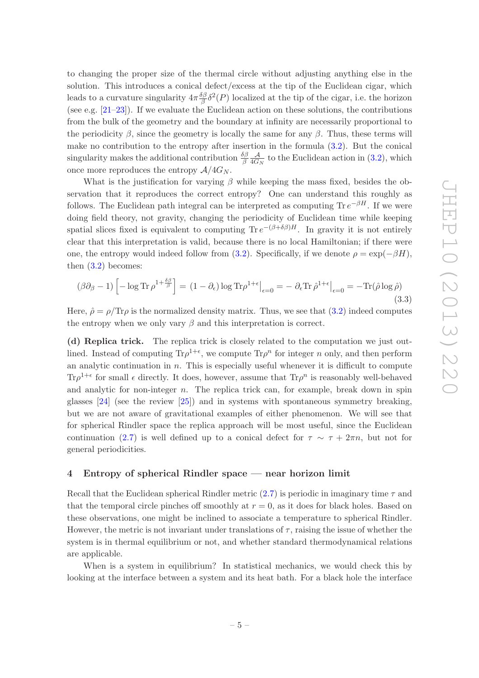to changing the proper size of the thermal circle without adjusting anything else in the solution. This introduces a conical defect/excess at the tip of the Euclidean cigar, which leads to a curvature singularity  $4\pi \frac{\delta \beta}{\beta}$  $\frac{\partial \beta}{\partial \beta} \delta^2(P)$  localized at the tip of the cigar, i.e. the horizon (see e.g. [\[21](#page-12-2)[–23\]](#page-12-3)). If we evaluate the Euclidean action on these solutions, the contributions from the bulk of the geometry and the boundary at infinity are necessarily proportional to the periodicity  $\beta$ , since the geometry is locally the same for any  $\beta$ . Thus, these terms will make no contribution to the entropy after insertion in the formula [\(3.2\)](#page-5-0). But the conical singularity makes the additional contribution  $\frac{\delta \beta}{\beta}$ A  $\frac{\mathcal{A}}{4G_N}$  to the Euclidean action in  $(3.2)$ , which once more reproduces the entropy  $A/4G_N$ .

What is the justification for varying  $\beta$  while keeping the mass fixed, besides the observation that it reproduces the correct entropy? One can understand this roughly as follows. The Euclidean path integral can be interpreted as computing  $\text{Tr } e^{-\beta H}$ . If we were doing field theory, not gravity, changing the periodicity of Euclidean time while keeping spatial slices fixed is equivalent to computing  $\text{Tr } e^{-(\beta + \delta \beta)H}$ . In gravity it is not entirely clear that this interpretation is valid, because there is no local Hamiltonian; if there were one, the entropy would indeed follow from [\(3.2\)](#page-5-0). Specifically, if we denote  $\rho = \exp(-\beta H)$ , then  $(3.2)$  becomes:

$$
(\beta \partial_{\beta} - 1) \left[ -\log \text{Tr} \, \rho^{1 + \frac{\delta \beta}{\beta}} \right] = (1 - \partial_{\epsilon}) \log \text{Tr} \rho^{1 + \epsilon} \big|_{\epsilon = 0} = -\partial_{\epsilon} \text{Tr} \, \hat{\rho}^{1 + \epsilon} \big|_{\epsilon = 0} = -\text{Tr}(\hat{\rho} \log \hat{\rho}) \tag{3.3}
$$

Here,  $\hat{\rho} = \rho/\text{Tr}\rho$  is the normalized density matrix. Thus, we see that  $(3.2)$  indeed computes the entropy when we only vary  $\beta$  and this interpretation is correct.

(d) Replica trick. The replica trick is closely related to the computation we just outlined. Instead of computing  $\text{Tr}\rho^{1+\epsilon}$ , we compute  $\text{Tr}\rho^n$  for integer n only, and then perform an analytic continuation in  $n$ . This is especially useful whenever it is difficult to compute Tr $\rho^{1+\epsilon}$  for small  $\epsilon$  directly. It does, however, assume that  $\text{Tr}\rho^{n}$  is reasonably well-behaved and analytic for non-integer  $n$ . The replica trick can, for example, break down in spin glasses [\[24](#page-12-4)] (see the review [\[25](#page-12-5)]) and in systems with spontaneous symmetry breaking, but we are not aware of gravitational examples of either phenomenon. We will see that for spherical Rindler space the replica approach will be most useful, since the Euclidean continuation [\(2.7\)](#page-3-3) is well defined up to a conical defect for  $\tau \sim \tau + 2\pi n$ , but not for general periodicities.

## <span id="page-6-0"></span>4 Entropy of spherical Rindler space — near horizon limit

Recall that the Euclidean spherical Rindler metric  $(2.7)$  is periodic in imaginary time  $\tau$  and that the temporal circle pinches off smoothly at  $r = 0$ , as it does for black holes. Based on these observations, one might be inclined to associate a temperature to spherical Rindler. However, the metric is not invariant under translations of  $\tau$ , raising the issue of whether the system is in thermal equilibrium or not, and whether standard thermodynamical relations are applicable.

When is a system in equilibrium? In statistical mechanics, we would check this by looking at the interface between a system and its heat bath. For a black hole the interface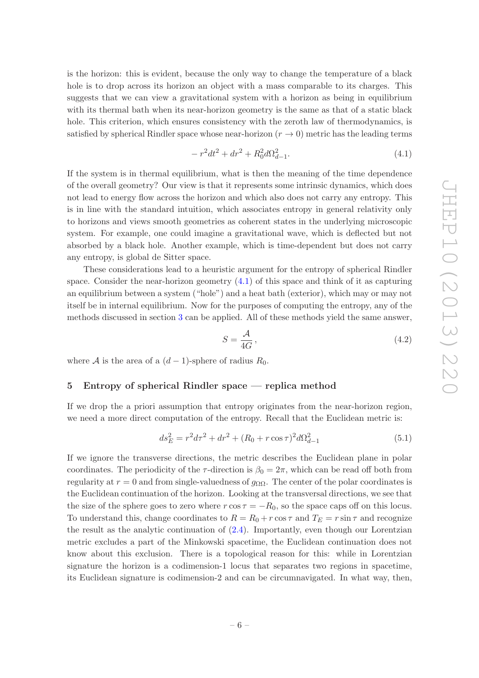is the horizon: this is evident, because the only way to change the temperature of a black hole is to drop across its horizon an object with a mass comparable to its charges. This suggests that we can view a gravitational system with a horizon as being in equilibrium with its thermal bath when its near-horizon geometry is the same as that of a static black hole. This criterion, which ensures consistency with the zeroth law of thermodynamics, is satisfied by spherical Rindler space whose near-horizon  $(r \to 0)$  metric has the leading terms

<span id="page-7-1"></span>
$$
-r^2dt^2 + dr^2 + R_0^2d\Omega_{d-1}^2.
$$
\n(4.1)

If the system is in thermal equilibrium, what is then the meaning of the time dependence of the overall geometry? Our view is that it represents some intrinsic dynamics, which does not lead to energy flow across the horizon and which also does not carry any entropy. This is in line with the standard intuition, which associates entropy in general relativity only to horizons and views smooth geometries as coherent states in the underlying microscopic system. For example, one could imagine a gravitational wave, which is deflected but not absorbed by a black hole. Another example, which is time-dependent but does not carry any entropy, is global de Sitter space.

These considerations lead to a heuristic argument for the entropy of spherical Rindler space. Consider the near-horizon geometry [\(4.1\)](#page-7-1) of this space and think of it as capturing an equilibrium between a system ("hole") and a heat bath (exterior), which may or may not itself be in internal equilibrium. Now for the purposes of computing the entropy, any of the methods discussed in section [3](#page-4-0) can be applied. All of these methods yield the same answer,

$$
S = \frac{\mathcal{A}}{4G},\tag{4.2}
$$

<span id="page-7-0"></span>where A is the area of a  $(d-1)$ -sphere of radius  $R_0$ .

#### 5 Entropy of spherical Rindler space — replica method

If we drop the a priori assumption that entropy originates from the near-horizon region, we need a more direct computation of the entropy. Recall that the Euclidean metric is:

$$
ds_E^2 = r^2 d\tau^2 + dr^2 + (R_0 + r \cos \tau)^2 d\Omega_{d-1}^2
$$
\n(5.1)

If we ignore the transverse directions, the metric describes the Euclidean plane in polar coordinates. The periodicity of the  $\tau$ -direction is  $\beta_0 = 2\pi$ , which can be read off both from regularity at  $r = 0$  and from single-valuedness of  $g_{\Omega\Omega}$ . The center of the polar coordinates is the Euclidean continuation of the horizon. Looking at the transversal directions, we see that the size of the sphere goes to zero where  $r \cos \tau = -R_0$ , so the space caps off on this locus. To understand this, change coordinates to  $R = R_0 + r \cos \tau$  and  $T_E = r \sin \tau$  and recognize the result as the analytic continuation of  $(2.4)$ . Importantly, even though our Lorentzian metric excludes a part of the Minkowski spacetime, the Euclidean continuation does not know about this exclusion. There is a topological reason for this: while in Lorentzian signature the horizon is a codimension-1 locus that separates two regions in spacetime, its Euclidean signature is codimension-2 and can be circumnavigated. In what way, then,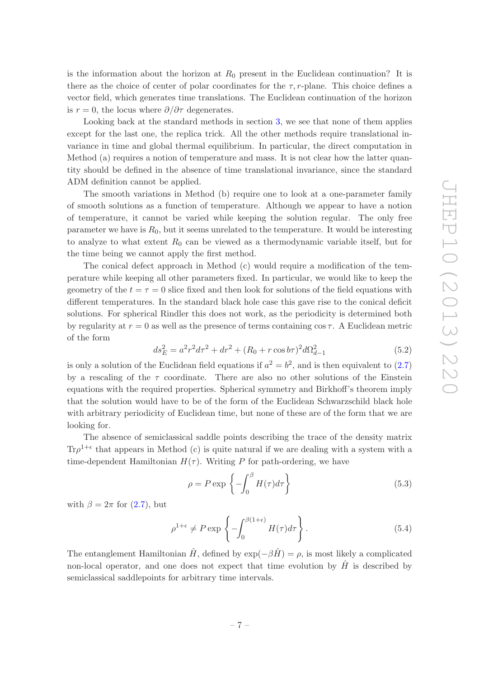is the information about the horizon at  $R_0$  present in the Euclidean continuation? It is there as the choice of center of polar coordinates for the  $\tau$ , r-plane. This choice defines a vector field, which generates time translations. The Euclidean continuation of the horizon is  $r = 0$ , the locus where  $\partial/\partial \tau$  degenerates.

Looking back at the standard methods in section [3,](#page-4-0) we see that none of them applies except for the last one, the replica trick. All the other methods require translational invariance in time and global thermal equilibrium. In particular, the direct computation in Method (a) requires a notion of temperature and mass. It is not clear how the latter quantity should be defined in the absence of time translational invariance, since the standard ADM definition cannot be applied.

The smooth variations in Method (b) require one to look at a one-parameter family of smooth solutions as a function of temperature. Although we appear to have a notion of temperature, it cannot be varied while keeping the solution regular. The only free parameter we have is  $R_0$ , but it seems unrelated to the temperature. It would be interesting to analyze to what extent  $R_0$  can be viewed as a thermodynamic variable itself, but for the time being we cannot apply the first method.

The conical defect approach in Method (c) would require a modification of the temperature while keeping all other parameters fixed. In particular, we would like to keep the geometry of the  $t = \tau = 0$  slice fixed and then look for solutions of the field equations with different temperatures. In the standard black hole case this gave rise to the conical deficit solutions. For spherical Rindler this does not work, as the periodicity is determined both by regularity at  $r = 0$  as well as the presence of terms containing  $\cos \tau$ . A Euclidean metric of the form

$$
ds_E^2 = a^2r^2d\tau^2 + dr^2 + (R_0 + r\cos b\tau)^2d\Omega_{d-1}^2
$$
\n(5.2)

is only a solution of the Euclidean field equations if  $a^2 = b^2$ , and is then equivalent to  $(2.7)$ by a rescaling of the  $\tau$  coordinate. There are also no other solutions of the Einstein equations with the required properties. Spherical symmetry and Birkhoff's theorem imply that the solution would have to be of the form of the Euclidean Schwarzschild black hole with arbitrary periodicity of Euclidean time, but none of these are of the form that we are looking for.

The absence of semiclassical saddle points describing the trace of the density matrix Tr $\rho^{1+\epsilon}$  that appears in Method (c) is quite natural if we are dealing with a system with a time-dependent Hamiltonian  $H(\tau)$ . Writing P for path-ordering, we have

$$
\rho = P \exp\left\{-\int_0^\beta H(\tau)d\tau\right\} \tag{5.3}
$$

with  $\beta = 2\pi$  for  $(2.7)$ , but

$$
\rho^{1+\epsilon} \neq P \exp \left\{ -\int_0^{\beta(1+\epsilon)} H(\tau) d\tau \right\}.
$$
 (5.4)

The entanglement Hamiltonian  $\hat{H}$ , defined by  $\exp(-\beta \hat{H}) = \rho$ , is most likely a complicated non-local operator, and one does not expect that time evolution by  $\hat{H}$  is described by semiclassical saddlepoints for arbitrary time intervals.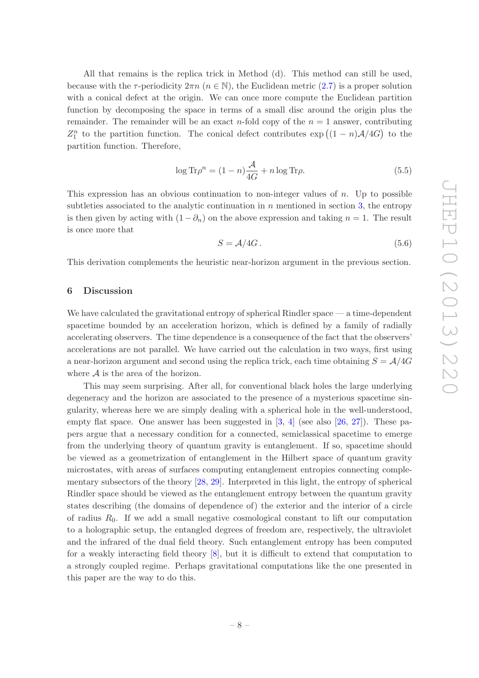All that remains is the replica trick in Method (d). This method can still be used, because with the  $\tau$ -periodicity  $2\pi n$   $(n \in \mathbb{N})$ , the Euclidean metric [\(2.7\)](#page-3-3) is a proper solution with a conical defect at the origin. We can once more compute the Euclidean partition function by decomposing the space in terms of a small disc around the origin plus the remainder. The remainder will be an exact n-fold copy of the  $n = 1$  answer, contributing  $Z_1^n$  to the partition function. The conical defect contributes  $\exp((1-n)\mathcal{A}/4G)$  to the partition function. Therefore,

$$
\log \text{Tr}\rho^n = (1 - n)\frac{\mathcal{A}}{4G} + n\log \text{Tr}\rho. \tag{5.5}
$$

This expression has an obvious continuation to non-integer values of n. Up to possible subtleties associated to the analytic continuation in  $n$  mentioned in section [3,](#page-4-0) the entropy is then given by acting with  $(1 - \partial_n)$  on the above expression and taking  $n = 1$ . The result is once more that

$$
S = \mathcal{A}/4G. \tag{5.6}
$$

This derivation complements the heuristic near-horizon argument in the previous section.

## <span id="page-9-0"></span>6 Discussion

We have calculated the gravitational entropy of spherical Rindler space — a time-dependent spacetime bounded by an acceleration horizon, which is defined by a family of radially accelerating observers. The time dependence is a consequence of the fact that the observers' accelerations are not parallel. We have carried out the calculation in two ways, first using a near-horizon argument and second using the replica trick, each time obtaining  $S = \mathcal{A}/4G$ where  $A$  is the area of the horizon.

This may seem surprising. After all, for conventional black holes the large underlying degeneracy and the horizon are associated to the presence of a mysterious spacetime singularity, whereas here we are simply dealing with a spherical hole in the well-understood, empty flat space. One answer has been suggested in  $[3, 4]$  $[3, 4]$  $[3, 4]$  (see also  $[26, 27]$  $[26, 27]$ ). These papers argue that a necessary condition for a connected, semiclassical spacetime to emerge from the underlying theory of quantum gravity is entanglement. If so, spacetime should be viewed as a geometrization of entanglement in the Hilbert space of quantum gravity microstates, with areas of surfaces computing entanglement entropies connecting complementary subsectors of the theory [\[28,](#page-12-8) [29\]](#page-12-9). Interpreted in this light, the entropy of spherical Rindler space should be viewed as the entanglement entropy between the quantum gravity states describing (the domains of dependence of) the exterior and the interior of a circle of radius  $R_0$ . If we add a small negative cosmological constant to lift our computation to a holographic setup, the entangled degrees of freedom are, respectively, the ultraviolet and the infrared of the dual field theory. Such entanglement entropy has been computed for a weakly interacting field theory [\[8\]](#page-11-7), but it is difficult to extend that computation to a strongly coupled regime. Perhaps gravitational computations like the one presented in this paper are the way to do this.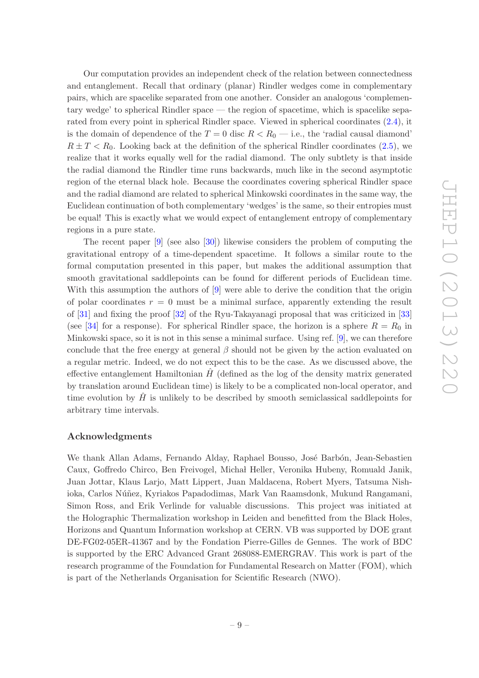Our computation provides an independent check of the relation between connectedness and entanglement. Recall that ordinary (planar) Rindler wedges come in complementary pairs, which are spacelike separated from one another. Consider an analogous 'complementary wedge' to spherical Rindler space — the region of spacetime, which is spacelike separated from every point in spherical Rindler space. Viewed in spherical coordinates [\(2.4\)](#page-3-4), it is the domain of dependence of the  $T = 0$  disc  $R < R_0$  — i.e., the 'radial causal diamond'  $R \pm T < R_0$ . Looking back at the definition of the spherical Rindler coordinates [\(2.5\)](#page-3-5), we realize that it works equally well for the radial diamond. The only subtlety is that inside the radial diamond the Rindler time runs backwards, much like in the second asymptotic region of the eternal black hole. Because the coordinates covering spherical Rindler space and the radial diamond are related to spherical Minkowski coordinates in the same way, the Euclidean continuation of both complementary 'wedges' is the same, so their entropies must be equal! This is exactly what we would expect of entanglement entropy of complementary regions in a pure state.

The recent paper [\[9\]](#page-11-8) (see also [\[30](#page-12-10)]) likewise considers the problem of computing the gravitational entropy of a time-dependent spacetime. It follows a similar route to the formal computation presented in this paper, but makes the additional assumption that smooth gravitational saddlepoints can be found for different periods of Euclidean time. With this assumption the authors of [\[9\]](#page-11-8) were able to derive the condition that the origin of polar coordinates  $r = 0$  must be a minimal surface, apparently extending the result of [\[31\]](#page-12-11) and fixing the proof [\[32\]](#page-12-12) of the Ryu-Takayanagi proposal that was criticized in [\[33\]](#page-12-13) (see [\[34\]](#page-12-14) for a response). For spherical Rindler space, the horizon is a sphere  $R = R_0$  in Minkowski space, so it is not in this sense a minimal surface. Using ref. [\[9](#page-11-8)], we can therefore conclude that the free energy at general  $\beta$  should not be given by the action evaluated on a regular metric. Indeed, we do not expect this to be the case. As we discussed above, the effective entanglement Hamiltonian  $\hat{H}$  (defined as the log of the density matrix generated by translation around Euclidean time) is likely to be a complicated non-local operator, and time evolution by  $H$  is unlikely to be described by smooth semiclassical saddlepoints for arbitrary time intervals.

## Acknowledgments

We thank Allan Adams, Fernando Alday, Raphael Bousso, José Barbón, Jean-Sebastien Caux, Goffredo Chirco, Ben Freivogel, Michał Heller, Veronika Hubeny, Romuald Janik, Juan Jottar, Klaus Larjo, Matt Lippert, Juan Maldacena, Robert Myers, Tatsuma Nishioka, Carlos Núñez, Kyriakos Papadodimas, Mark Van Raamsdonk, Mukund Rangamani, Simon Ross, and Erik Verlinde for valuable discussions. This project was initiated at the Holographic Thermalization workshop in Leiden and benefitted from the Black Holes, Horizons and Quantum Information workshop at CERN. VB was supported by DOE grant DE-FG02-05ER-41367 and by the Fondation Pierre-Gilles de Gennes. The work of BDC is supported by the ERC Advanced Grant 268088-EMERGRAV. This work is part of the research programme of the Foundation for Fundamental Research on Matter (FOM), which is part of the Netherlands Organisation for Scientific Research (NWO).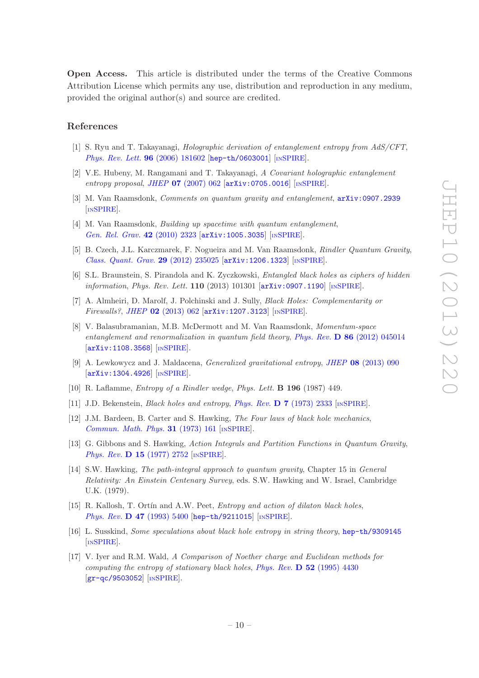Open Access. This article is distributed under the terms of the Creative Commons Attribution License which permits any use, distribution and reproduction in any medium, provided the original author(s) and source are credited.

#### References

- <span id="page-11-0"></span>[1] S. Ryu and T. Takayanagi, *Holographic derivation of entanglement entropy from AdS/CFT*, *[Phys. Rev. Lett.](http://dx.doi.org/10.1103/PhysRevLett.96.181602)* 96 (2006) 181602 [[hep-th/0603001](http://arxiv.org/abs/hep-th/0603001)] [IN[SPIRE](http://inspirehep.net/search?p=find+EPRINT+hep-th/0603001)].
- <span id="page-11-1"></span>[2] V.E. Hubeny, M. Rangamani and T. Takayanagi, *A Covariant holographic entanglement entropy proposal*, *JHEP* 07 [\(2007\) 062](http://dx.doi.org/10.1088/1126-6708/2007/07/062) [[arXiv:0705.0016](http://arxiv.org/abs/0705.0016)] [IN[SPIRE](http://inspirehep.net/search?p=find+EPRINT+arXiv:0705.0016)].
- <span id="page-11-2"></span>[3] M. Van Raamsdonk, *Comments on quantum gravity and entanglement*, [arXiv:0907.2939](http://arxiv.org/abs/0907.2939) [IN[SPIRE](http://inspirehep.net/search?p=find+EPRINT+arXiv:0907.2939)].
- <span id="page-11-3"></span>[4] M. Van Raamsdonk, *Building up spacetime with quantum entanglement*, *[Gen. Rel. Grav.](http://dx.doi.org/10.1007/s10714-010-1034-0)* 42 (2010) 2323 [[arXiv:1005.3035](http://arxiv.org/abs/1005.3035)] [IN[SPIRE](http://inspirehep.net/search?p=find+EPRINT+arXiv:1005.3035)].
- <span id="page-11-4"></span>[5] B. Czech, J.L. Karczmarek, F. Nogueira and M. Van Raamsdonk, *Rindler Quantum Gravity*, *[Class. Quant. Grav.](http://dx.doi.org/10.1088/0264-9381/29/23/235025)* 29 (2012) 235025 [[arXiv:1206.1323](http://arxiv.org/abs/1206.1323)] [IN[SPIRE](http://inspirehep.net/search?p=find+EPRINT+arXiv:1206.1323)].
- <span id="page-11-5"></span>[6] S.L. Braunstein, S. Pirandola and K. Zyczkowski, *Entangled black holes as ciphers of hidden information*, *Phys. Rev. Lett.* **110** (2013) 101301 [ $arXiv:0907.1190$ ] [IN[SPIRE](http://inspirehep.net/search?p=find+EPRINT+arXiv:0907.1190)].
- <span id="page-11-6"></span>[7] A. Almheiri, D. Marolf, J. Polchinski and J. Sully, *Black Holes: Complementarity or Firewalls?*, *JHEP* 02 [\(2013\) 062](http://dx.doi.org/10.1007/JHEP02(2013)062) [[arXiv:1207.3123](http://arxiv.org/abs/1207.3123)] [IN[SPIRE](http://inspirehep.net/search?p=find+EPRINT+arXiv:1207.3123)].
- <span id="page-11-7"></span>[8] V. Balasubramanian, M.B. McDermott and M. Van Raamsdonk, *Momentum-space entanglement and renormalization in quantum field theory*, *Phys. Rev.* D 86 [\(2012\) 045014](http://dx.doi.org/10.1103/PhysRevD.86.045014) [[arXiv:1108.3568](http://arxiv.org/abs/1108.3568)] [IN[SPIRE](http://inspirehep.net/search?p=find+EPRINT+arXiv:1108.3568)].
- <span id="page-11-8"></span>[9] A. Lewkowycz and J. Maldacena, *Generalized gravitational entropy*, *JHEP* 08 [\(2013\) 090](http://dx.doi.org/10.1007/JHEP08(2013)090) [[arXiv:1304.4926](http://arxiv.org/abs/1304.4926)] [IN[SPIRE](http://inspirehep.net/search?p=find+EPRINT+arXiv:1304.4926)].
- <span id="page-11-9"></span>[10] R. Laflamme, *Entropy of a Rindler wedge*, *Phys. Lett.* B 196 (1987) 449.
- [11] J.D. Bekenstein, *Black holes and entropy*, *Phys. Rev.* D 7 [\(1973\) 2333](http://dx.doi.org/10.1103/PhysRevD.7.2333) [IN[SPIRE](http://inspirehep.net/search?p=find+J+Phys.Rev.,D7,2333)].
- [12] J.M. Bardeen, B. Carter and S. Hawking, *The Four laws of black hole mechanics*, *[Commun. Math. Phys.](http://dx.doi.org/10.1007/BF01645742)* 31 (1973) 161 [IN[SPIRE](http://inspirehep.net/search?p=find+J+Comm.Math.Phys.,31,161)].
- <span id="page-11-10"></span>[13] G. Gibbons and S. Hawking, *Action Integrals and Partition Functions in Quantum Gravity*, *Phys. Rev.* **D 15** [\(1977\) 2752](http://dx.doi.org/10.1103/PhysRevD.15.2752) [IN[SPIRE](http://inspirehep.net/search?p=find+J+Phys.Rev.,D15,2752)].
- <span id="page-11-12"></span>[14] S.W. Hawking, *The path-integral approach to quantum gravity*, Chapter 15 in *General Relativity: An Einstein Centenary Survey*, eds. S.W. Hawking and W. Israel, Cambridge U.K. (1979).
- [15] R. Kallosh, T. Ortín and A.W. Peet, *Entropy and action of dilaton black holes*, *Phys. Rev.* **D 47** [\(1993\) 5400](http://dx.doi.org/10.1103/PhysRevD.47.5400) [[hep-th/9211015](http://arxiv.org/abs/hep-th/9211015)] [IN[SPIRE](http://inspirehep.net/search?p=find+EPRINT+hep-th/9211015)].
- <span id="page-11-11"></span>[16] L. Susskind, *Some speculations about black hole entropy in string theory*, [hep-th/9309145](http://arxiv.org/abs/hep-th/9309145) [IN[SPIRE](http://inspirehep.net/search?p=find+EPRINT+hep-th/9309145)].
- [17] V. Iyer and R.M. Wald, *A Comparison of Noether charge and Euclidean methods for computing the entropy of stationary black holes*, *Phys. Rev.* D 52 [\(1995\) 4430](http://dx.doi.org/10.1103/PhysRevD.52.4430)  $\left[\frac{\text{gr}-\text{gc}}{9503052}\right]$   $\left[\frac{\text{INSPIRE}}{1000000}\right]$  $\left[\frac{\text{INSPIRE}}{1000000}\right]$  $\left[\frac{\text{INSPIRE}}{1000000}\right]$ .